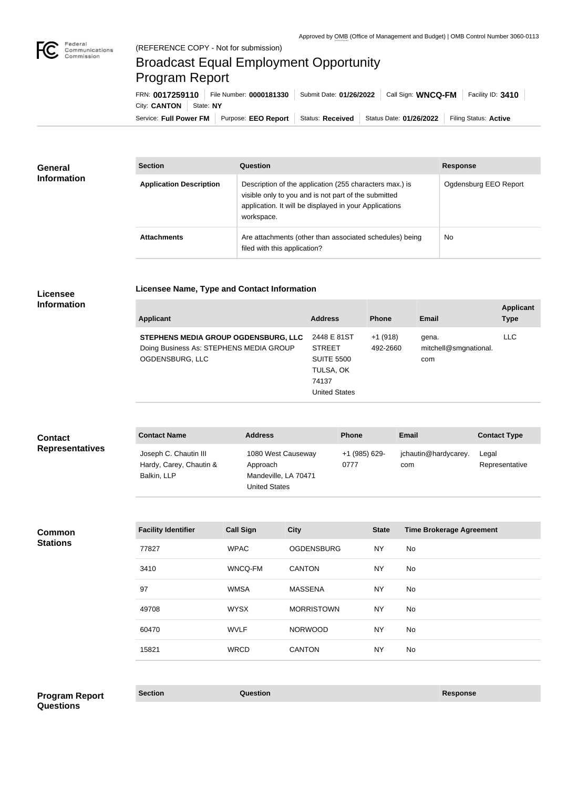п

## Broadcast Equal Employment Opportunity Program Report

**Licensee Name, Type and Contact Information**

Service: Full Power FM Purpose: EEO Report | Status: Received | Status Date: 01/26/2022 | Filing Status: Active City: **CANTON** State: NY FRN: **0017259110** File Number: **0000181330** Submit Date: **01/26/2022** Call Sign: **WNCQ-FM** Facility ID: **3410**

| <b>General</b><br><b>Information</b> | <b>Section</b>                 | Question                                                                                                                                                                                | <b>Response</b>       |
|--------------------------------------|--------------------------------|-----------------------------------------------------------------------------------------------------------------------------------------------------------------------------------------|-----------------------|
|                                      | <b>Application Description</b> | Description of the application (255 characters max.) is<br>visible only to you and is not part of the submitted<br>application. It will be displayed in your Applications<br>workspace. | Ogdensburg EEO Report |
|                                      | <b>Attachments</b>             | Are attachments (other than associated schedules) being<br>filed with this application?                                                                                                 | <b>No</b>             |

## **Licensee Information**

| <b>Applicant</b>                                                                                   | <b>Address</b>                                                                                  | <b>Phone</b>          | Email                                 | <b>Applicant</b><br><b>Type</b> |
|----------------------------------------------------------------------------------------------------|-------------------------------------------------------------------------------------------------|-----------------------|---------------------------------------|---------------------------------|
| STEPHENS MEDIA GROUP OGDENSBURG, LLC<br>Doing Business As: STEPHENS MEDIA GROUP<br>OGDENSBURG, LLC | 2448 E 81ST<br><b>STREET</b><br><b>SUITE 5500</b><br>TULSA, OK<br>74137<br><b>United States</b> | $+1(918)$<br>492-2660 | gena.<br>mitchell@smgnational.<br>com | <b>LLC</b>                      |

| <b>Contact</b><br><b>Representatives</b> | <b>Contact Name</b>                                             | <b>Address</b>                                                                 | <b>Phone</b>          | <b>Email</b>                | <b>Contact Type</b>     |
|------------------------------------------|-----------------------------------------------------------------|--------------------------------------------------------------------------------|-----------------------|-----------------------------|-------------------------|
|                                          | Joseph C. Chautin III<br>Hardy, Carey, Chautin &<br>Balkin, LLP | 1080 West Causeway<br>Approach<br>Mandeville, LA 70471<br><b>United States</b> | +1 (985) 629-<br>0777 | jchautin@hardycarey.<br>com | Legal<br>Representative |

**Common Stations**

| <b>Facility Identifier</b> | <b>Call Sign</b> | <b>City</b>       | <b>State</b> | <b>Time Brokerage Agreement</b> |
|----------------------------|------------------|-------------------|--------------|---------------------------------|
| 77827                      | <b>WPAC</b>      | <b>OGDENSBURG</b> | <b>NY</b>    | No.                             |
| 3410                       | WNCQ-FM          | <b>CANTON</b>     | <b>NY</b>    | No.                             |
| 97                         | <b>WMSA</b>      | <b>MASSENA</b>    | <b>NY</b>    | No.                             |
| 49708                      | <b>WYSX</b>      | <b>MORRISTOWN</b> | <b>NY</b>    | No                              |
| 60470                      | <b>WVLF</b>      | <b>NORWOOD</b>    | <b>NY</b>    | No.                             |
| 15821                      | <b>WRCD</b>      | <b>CANTON</b>     | <b>NY</b>    | No.                             |

**Section Question Response Program Report Questions**